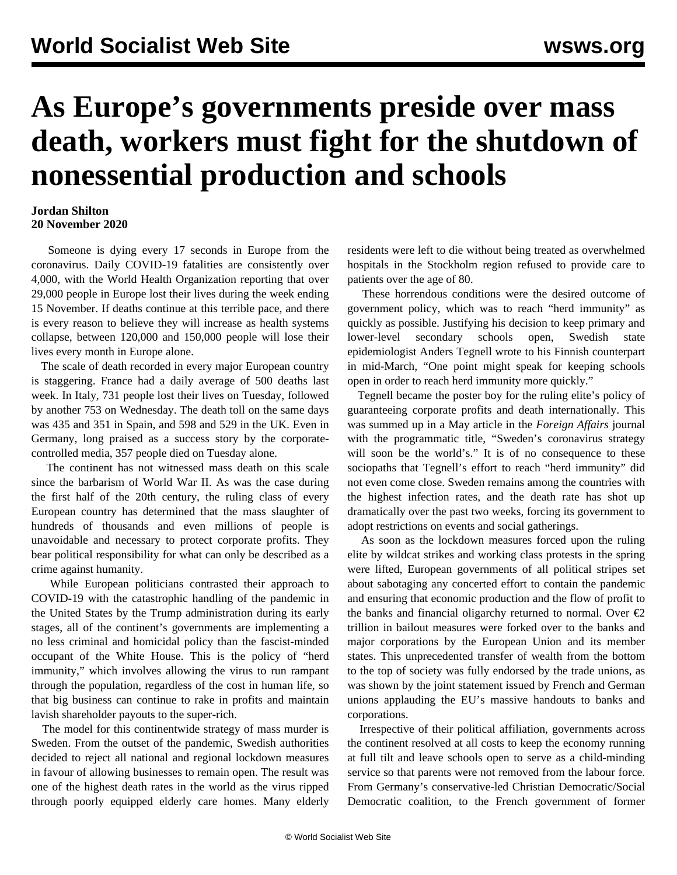## **As Europe's governments preside over mass death, workers must fight for the shutdown of nonessential production and schools**

## **Jordan Shilton 20 November 2020**

 Someone is dying every 17 seconds in Europe from the coronavirus. Daily COVID-19 fatalities are consistently over 4,000, with the World Health Organization reporting that over 29,000 people in Europe lost their lives during the week ending 15 November. If deaths continue at this terrible pace, and there is every reason to believe they will increase as health systems collapse, between 120,000 and 150,000 people will lose their lives every month in Europe alone.

 The scale of death recorded in every major European country is staggering. France had a daily average of 500 deaths last week. In Italy, 731 people lost their lives on Tuesday, followed by another 753 on Wednesday. The death toll on the same days was 435 and 351 in Spain, and 598 and 529 in the UK. Even in Germany, long praised as a success story by the corporatecontrolled media, 357 people died on Tuesday alone.

 The continent has not witnessed mass death on this scale since the barbarism of World War II. As was the case during the first half of the 20th century, the ruling class of every European country has determined that the mass slaughter of hundreds of thousands and even millions of people is unavoidable and necessary to protect corporate profits. They bear political responsibility for what can only be described as a crime against humanity.

 While European politicians contrasted their approach to COVID-19 with the catastrophic handling of the pandemic in the United States by the Trump administration during its early stages, all of the continent's governments are implementing a no less criminal and homicidal policy than the fascist-minded occupant of the White House. This is the policy of "herd immunity," which involves allowing the virus to run rampant through the population, regardless of the cost in human life, so that big business can continue to rake in profits and maintain lavish shareholder payouts to the super-rich.

 The model for this continentwide strategy of mass murder is Sweden. From the outset of the pandemic, Swedish authorities decided to reject all national and regional lockdown measures in favour of allowing businesses to remain open. The result was one of the highest death rates in the world as the virus ripped through poorly equipped elderly care homes. Many elderly

residents were left to die without being treated as overwhelmed hospitals in the Stockholm region refused to provide care to patients over the age of 80.

 These horrendous conditions were the desired outcome of government policy, which was to reach "herd immunity" as quickly as possible. Justifying his decision to keep primary and lower-level secondary schools open, Swedish state epidemiologist Anders Tegnell wrote to his Finnish counterpart in mid-March, "One point might speak for keeping schools open in order to reach herd immunity more quickly."

 Tegnell became the poster boy for the ruling elite's policy of guaranteeing corporate profits and death internationally. This was summed up in a May article in the *Foreign Affairs* journal with the programmatic title, "Sweden's coronavirus strategy will soon be the world's." It is of no consequence to these sociopaths that Tegnell's effort to reach "herd immunity" did not even come close. Sweden remains among the countries with the highest infection rates, and the death rate has shot up dramatically over the past two weeks, forcing its government to adopt restrictions on events and social gatherings.

 As soon as the lockdown measures forced upon the ruling elite by wildcat strikes and working class protests in the spring were lifted, European governments of all political stripes set about sabotaging any concerted effort to contain the pandemic and ensuring that economic production and the flow of profit to the banks and financial oligarchy returned to normal. Over  $\epsilon$ 2 trillion in bailout measures were forked over to the banks and major corporations by the European Union and its member states. This unprecedented transfer of wealth from the bottom to the top of society was fully endorsed by the trade unions, as was shown by the joint statement issued by French and German unions applauding the EU's massive handouts to banks and corporations.

 Irrespective of their political affiliation, governments across the continent resolved at all costs to keep the economy running at full tilt and leave schools open to serve as a child-minding service so that parents were not removed from the labour force. From Germany's conservative-led Christian Democratic/Social Democratic coalition, to the French government of former